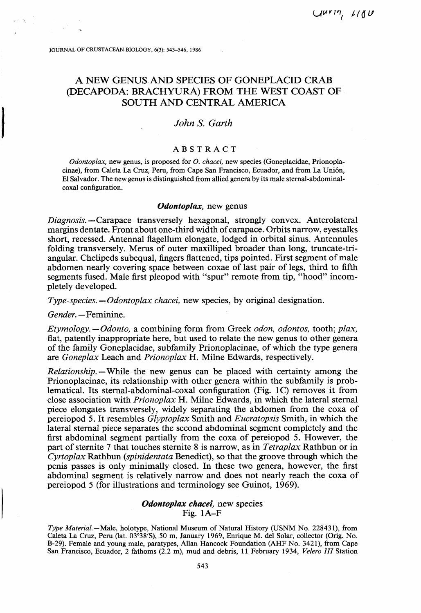# **A NEW GENUS AND SPECIES OF GONEPLACID CRAB (DECAPODA: BRACHYURA) FROM THE WEST COAST OF SOUTH AND CENTRAL AMERICA**

## *John S. Garth*

### **ABSTRACT**

*Odontoplax,* new genus, is proposed for *O. chacei,* new species (Goneplacidae, Prionoplacinae), from Caleta La Cruz, Peru, from Cape San Francisco, Ecuador, and from La Union, El Salvador. The new genus is distinguished from allied genera by its male sternal-abdominalcoxal configuration.

#### *Odontoplax,* new genus

*Diagnosis.—* Carapace transversely hexagonal, strongly convex. Anterolateral margins dentate. Front about one-third width of carapace. Orbits narrow, eyestalks short, recessed. Antennal flagellum elongate, lodged in orbital sinus. Antennules folding transversely. Merus of outer maxilliped broader than long, truncate-triangular. Chelipeds subequal, fingers flattened, tips pointed. First segment of male abdomen nearly covering space between coxae of last pair of legs, third to fifth segments fused. Male first pleopod with "spur" remote from tip, "hood" incompletely developed.

*Type-species. — Odontoplax chacei,* new species, by original designation.

*Gender.* —Feminine.

*Etymology.* — *Odonto,* a combining form from Greek *odon, odontos,* tooth; *plax,*  flat, patently inappropriate here, but used to relate the new genus to other genera of the family Goneplacidae, subfamily Prionoplacinae, of which the type genera are *Goneplax* Leach and *Prionoplax* H. Milne Edwards, respectively.

*Relationship.—*While the new genus can be placed with certainty among the Prionoplacinae, its relationship with other genera within the subfamily is problematical. Its sternal-abdominal-coxal configuration (Fig. 1C) removes it from close association with *Prionoplax* H. Milne Edwards, in which the lateral sternal piece elongates transversely, widely separating the abdomen from the coxa of pereiopod 5. It resembles *Glyptoplax* Smith and *Eucratopsis* Smith, in which the lateral sternal piece separates the second abdominal segment completely and the first abdominal segment partially from the coxa of pereiopod 5. However, the part of sternite 7 that touches sternite 8 is narrow, as in *Tetraplax* Rathbun or in *Cyrtoplax* Rathbun *(spinidentata* Benedict), so that the groove through which the penis passes is only minimally closed. In these two genera, however, the first abdominal segment is relatively narrow and does not nearly reach the coxa of pereiopod 5 (for illustrations and terminology see Guinot, 1969).

### *Odontoplax chacei,* new species Fig. **1A-F**

*Type Material.—Male,* holotype, National Museum of Natural History (USNM No. 228431), from Caleta La Cruz, Peru (lat. 03°38'S), 50 m, January 1969, Enrique M. del Solar, collector (Orig. No. B-29). Female and young male, paratypes, Allan Hancock Foundation (AHF No. 3421), from Cape San Francisco, Ecuador, 2 fathoms (2.2 m), mud and debris, 11 February 1934, *Velero III* Station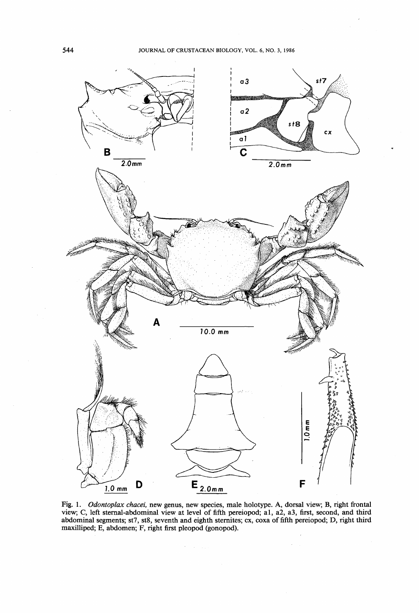

Fig. 1. *Odontoplax chacei,* new genus, new species, male holotype. A, dorsal view; B, right frontal view; C, left sternal-abdominal view at level of fifth pereiopod; al, a2, a3, first, second, and third abdominal segments; st7, st8, seventh and eighth sternites; ex, coxa of fifth pereiopod; D, right third maxilliped; E, abdomen; F, right first pleopod (gonopod).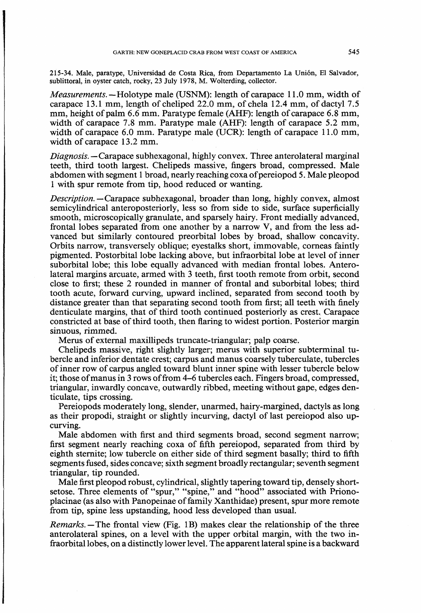215-34. Male, paratype, Universidad de Costa Rica, from Departamento La Union, El Salvador, sublittoral, in oyster catch, rocky, 23 July 1978, M. Wolterding, collector.

*Measurements.* — Holotype male (USNM): length of carapace 11.0 mm, width of carapace 13.1 mm, length of cheliped 22.0 mm, of chela 12.4 mm, of dactyl 7.5 mm, height of palm 6.6 mm. Paratype female (AHF): length of carapace 6.8 mm, width of carapace 7.8 mm. Paratype male (AHF): length of carapace 5.2 mm, width of carapace 6.0 mm. Paratype male (UCR): length of carapace 11.0 mm, width of carapace 13.2 mm.

*Diagnosis.* —Carapace subhexagonal, highly convex. Three anterolateral marginal teeth, third tooth largest. Chelipeds massive, fingers broad, compressed. Male abdomen with segment 1 broad, nearly reaching coxa of pereiopod 5. Male pleopod 1 with spur remote from tip, hood reduced or wanting.

*Description.* —Carapace subhexagonal, broader than long, highly convex, almost semicylindrical anteroposteriorly, less so from side to side, surface superficially smooth, microscopically granulate, and sparsely hairy. Front medially advanced, frontal lobes separated from one another by a narrow V, and from the less advanced but similarly contoured preorbital lobes by broad, shallow concavity. Orbits narrow, transversely oblique; eyestalks short, immovable, corneas faintly pigmented. Postorbital lobe lacking above, but infraorbital lobe at level of inner suborbital lobe; this lobe equally advanced with median frontal lobes. Anterolateral margins arcuate, armed with 3 teeth, first tooth remote from orbit, second close to first; these 2 rounded in manner of frontal and suborbital lobes; third tooth acute, forward curving, upward inclined, separated from second tooth by distance greater than that separating second tooth from first; all teeth with finely denticulate margins, that of third tooth continued posteriorly as crest. Carapace constricted at base of third tooth, then flaring to widest portion. Posterior margin sinuous, rimmed.

Merus of external maxillipeds truncate-triangular; palp coarse.

Chelipeds massive, right slightly larger; merus with superior subterminal tubercle and inferior dentate crest; carpus and manus coarsely tuberculate, tubercles of inner row of carpus angled toward blunt inner spine with lesser tubercle below it; those of manus in 3 rows of from 4-6 tubercles each. Fingers broad, compressed, triangular, inwardly concave, outwardly ribbed, meeting without gape, edges denticulate, tips crossing.

Pereiopods moderately long, slender, unarmed, hairy-margined, dactyls as long as their propodi, straight or slightly incurving, dactyl of last pereiopod also upcurving.

Male abdomen with first and third segments broad, second segment narrow; first segment nearly reaching coxa of fifth pereiopod, separated from third by eighth sternite; low tubercle on either side of third segment basally; third to fifth segments fused, sides concave; sixth segment broadly rectangular; seventh segment triangular, tip rounded.

Male first pleopod robust, cylindrical, slightly tapering toward tip, densely shortsetose. Three elements of "spur," "spine," and "hood" associated with Prionoplacinae (as also with Panopeinae of family Xanthidae) present, spur more remote from tip, spine less upstanding, hood less developed than usual.

*Remarks.—* The frontal view (Fig. IB) makes clear the relationship of the three anterolateral spines, on a level with the upper orbital margin, with the two infraorbital lobes, on a distinctly lower level. The apparent lateral spine is a backward